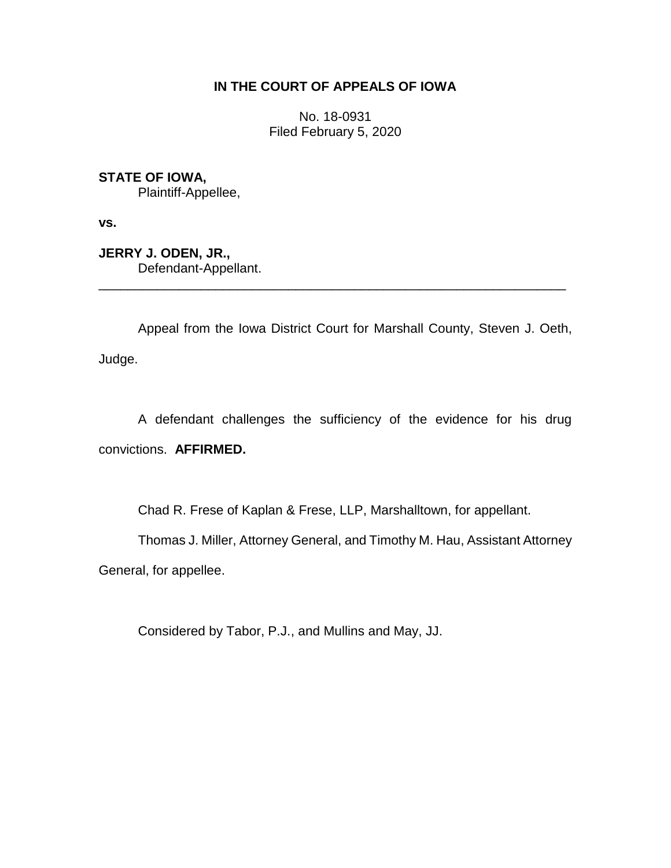# **IN THE COURT OF APPEALS OF IOWA**

No. 18-0931 Filed February 5, 2020

**STATE OF IOWA,**

Plaintiff-Appellee,

**vs.**

**JERRY J. ODEN, JR.,** Defendant-Appellant.

Appeal from the Iowa District Court for Marshall County, Steven J. Oeth, Judge.

\_\_\_\_\_\_\_\_\_\_\_\_\_\_\_\_\_\_\_\_\_\_\_\_\_\_\_\_\_\_\_\_\_\_\_\_\_\_\_\_\_\_\_\_\_\_\_\_\_\_\_\_\_\_\_\_\_\_\_\_\_\_\_\_

A defendant challenges the sufficiency of the evidence for his drug convictions. **AFFIRMED.**

Chad R. Frese of Kaplan & Frese, LLP, Marshalltown, for appellant.

Thomas J. Miller, Attorney General, and Timothy M. Hau, Assistant Attorney

General, for appellee.

Considered by Tabor, P.J., and Mullins and May, JJ.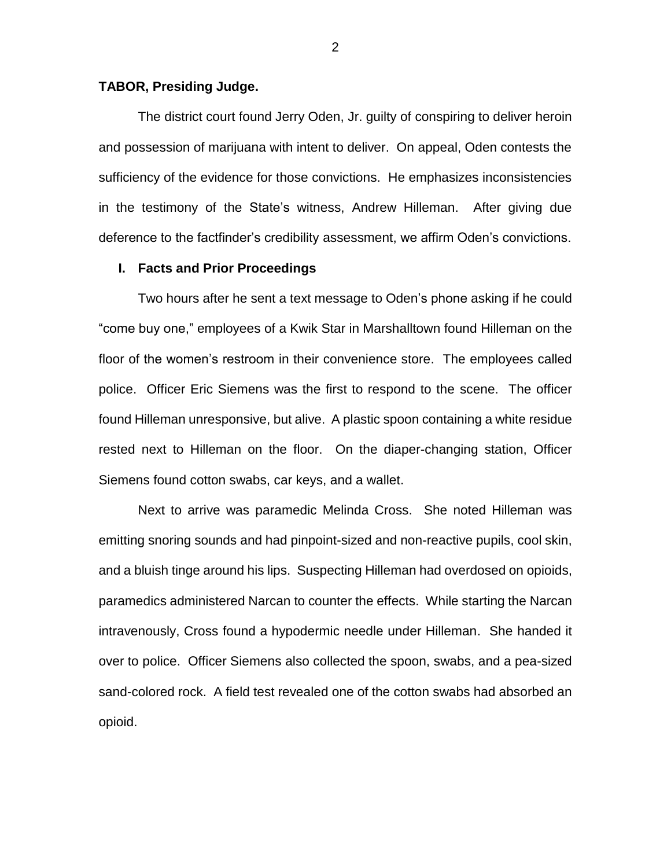## **TABOR, Presiding Judge.**

The district court found Jerry Oden, Jr. guilty of conspiring to deliver heroin and possession of marijuana with intent to deliver. On appeal, Oden contests the sufficiency of the evidence for those convictions. He emphasizes inconsistencies in the testimony of the State's witness, Andrew Hilleman. After giving due deference to the factfinder's credibility assessment, we affirm Oden's convictions.

## **I. Facts and Prior Proceedings**

Two hours after he sent a text message to Oden's phone asking if he could "come buy one," employees of a Kwik Star in Marshalltown found Hilleman on the floor of the women's restroom in their convenience store. The employees called police. Officer Eric Siemens was the first to respond to the scene. The officer found Hilleman unresponsive, but alive. A plastic spoon containing a white residue rested next to Hilleman on the floor. On the diaper-changing station, Officer Siemens found cotton swabs, car keys, and a wallet.

Next to arrive was paramedic Melinda Cross. She noted Hilleman was emitting snoring sounds and had pinpoint-sized and non-reactive pupils, cool skin, and a bluish tinge around his lips. Suspecting Hilleman had overdosed on opioids, paramedics administered Narcan to counter the effects. While starting the Narcan intravenously, Cross found a hypodermic needle under Hilleman. She handed it over to police. Officer Siemens also collected the spoon, swabs, and a pea-sized sand-colored rock. A field test revealed one of the cotton swabs had absorbed an opioid.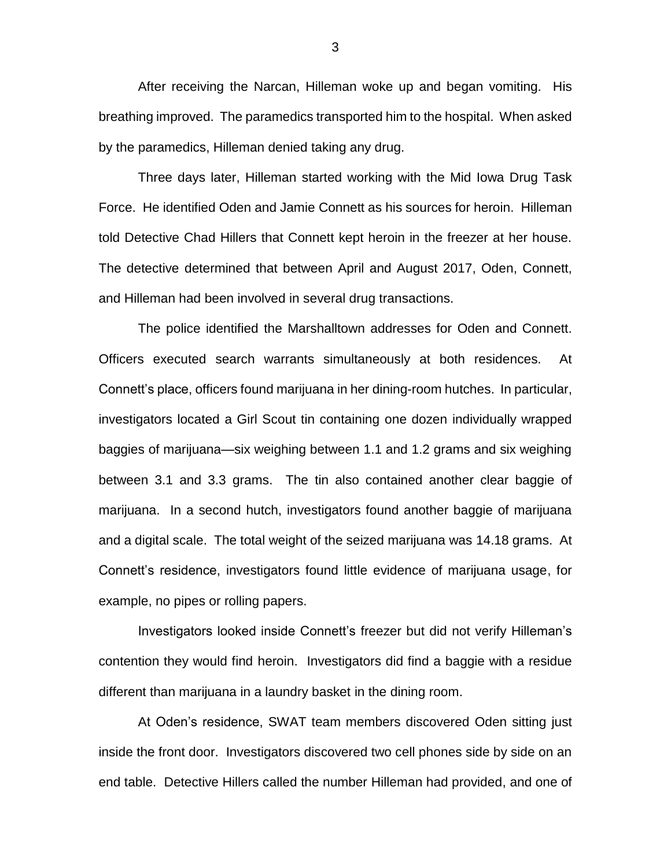After receiving the Narcan, Hilleman woke up and began vomiting. His breathing improved. The paramedics transported him to the hospital. When asked by the paramedics, Hilleman denied taking any drug.

Three days later, Hilleman started working with the Mid Iowa Drug Task Force. He identified Oden and Jamie Connett as his sources for heroin. Hilleman told Detective Chad Hillers that Connett kept heroin in the freezer at her house. The detective determined that between April and August 2017, Oden, Connett, and Hilleman had been involved in several drug transactions.

The police identified the Marshalltown addresses for Oden and Connett. Officers executed search warrants simultaneously at both residences. At Connett's place, officers found marijuana in her dining-room hutches. In particular, investigators located a Girl Scout tin containing one dozen individually wrapped baggies of marijuana—six weighing between 1.1 and 1.2 grams and six weighing between 3.1 and 3.3 grams. The tin also contained another clear baggie of marijuana. In a second hutch, investigators found another baggie of marijuana and a digital scale. The total weight of the seized marijuana was 14.18 grams. At Connett's residence, investigators found little evidence of marijuana usage, for example, no pipes or rolling papers.

Investigators looked inside Connett's freezer but did not verify Hilleman's contention they would find heroin. Investigators did find a baggie with a residue different than marijuana in a laundry basket in the dining room.

At Oden's residence, SWAT team members discovered Oden sitting just inside the front door. Investigators discovered two cell phones side by side on an end table. Detective Hillers called the number Hilleman had provided, and one of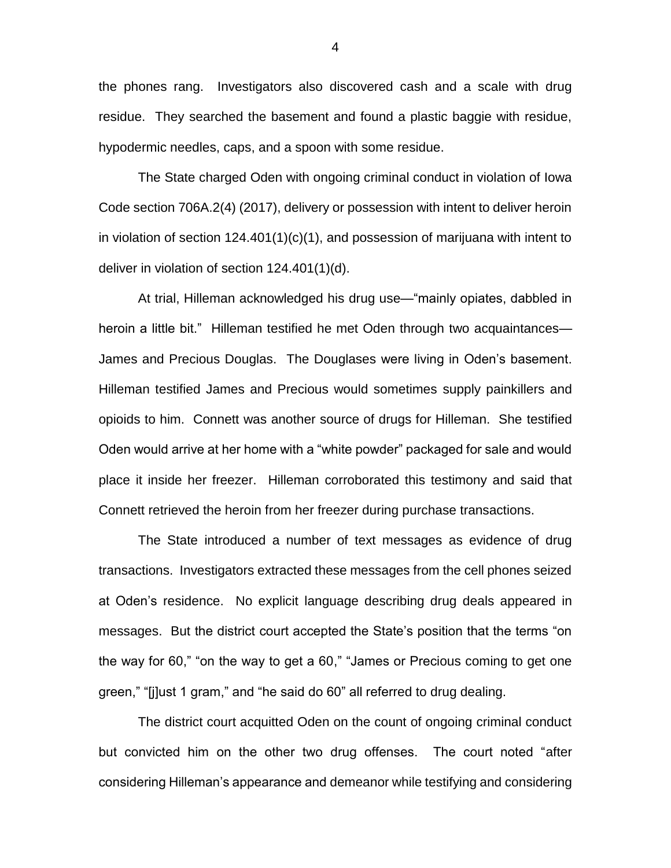the phones rang. Investigators also discovered cash and a scale with drug residue. They searched the basement and found a plastic baggie with residue, hypodermic needles, caps, and a spoon with some residue.

The State charged Oden with ongoing criminal conduct in violation of Iowa Code section 706A.2(4) (2017), delivery or possession with intent to deliver heroin in violation of section 124.401(1)(c)(1), and possession of marijuana with intent to deliver in violation of section 124.401(1)(d).

At trial, Hilleman acknowledged his drug use—"mainly opiates, dabbled in heroin a little bit." Hilleman testified he met Oden through two acquaintances— James and Precious Douglas. The Douglases were living in Oden's basement. Hilleman testified James and Precious would sometimes supply painkillers and opioids to him. Connett was another source of drugs for Hilleman. She testified Oden would arrive at her home with a "white powder" packaged for sale and would place it inside her freezer. Hilleman corroborated this testimony and said that Connett retrieved the heroin from her freezer during purchase transactions.

The State introduced a number of text messages as evidence of drug transactions. Investigators extracted these messages from the cell phones seized at Oden's residence. No explicit language describing drug deals appeared in messages. But the district court accepted the State's position that the terms "on the way for 60," "on the way to get a 60," "James or Precious coming to get one green," "[j]ust 1 gram," and "he said do 60" all referred to drug dealing.

The district court acquitted Oden on the count of ongoing criminal conduct but convicted him on the other two drug offenses. The court noted "after considering Hilleman's appearance and demeanor while testifying and considering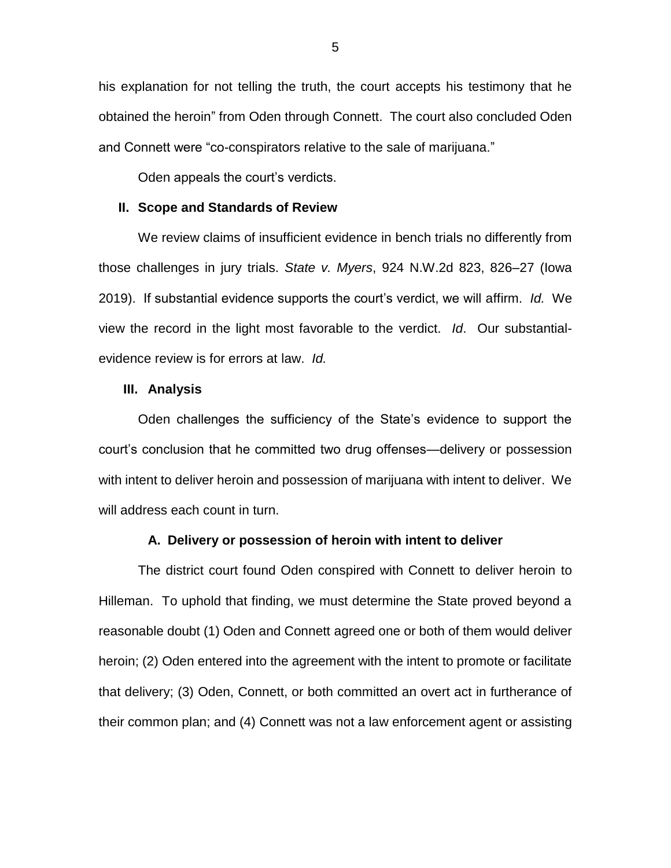his explanation for not telling the truth, the court accepts his testimony that he obtained the heroin" from Oden through Connett. The court also concluded Oden and Connett were "co-conspirators relative to the sale of marijuana."

Oden appeals the court's verdicts.

### **II. Scope and Standards of Review**

We review claims of insufficient evidence in bench trials no differently from those challenges in jury trials. *State v. Myers*, 924 N.W.2d 823, 826–27 (Iowa 2019). If substantial evidence supports the court's verdict, we will affirm. *Id.* We view the record in the light most favorable to the verdict. *Id*. Our substantialevidence review is for errors at law. *Id.*

#### **III. Analysis**

Oden challenges the sufficiency of the State's evidence to support the court's conclusion that he committed two drug offenses—delivery or possession with intent to deliver heroin and possession of marijuana with intent to deliver. We will address each count in turn.

## **A. Delivery or possession of heroin with intent to deliver**

The district court found Oden conspired with Connett to deliver heroin to Hilleman. To uphold that finding, we must determine the State proved beyond a reasonable doubt (1) Oden and Connett agreed one or both of them would deliver heroin; (2) Oden entered into the agreement with the intent to promote or facilitate that delivery; (3) Oden, Connett, or both committed an overt act in furtherance of their common plan; and (4) Connett was not a law enforcement agent or assisting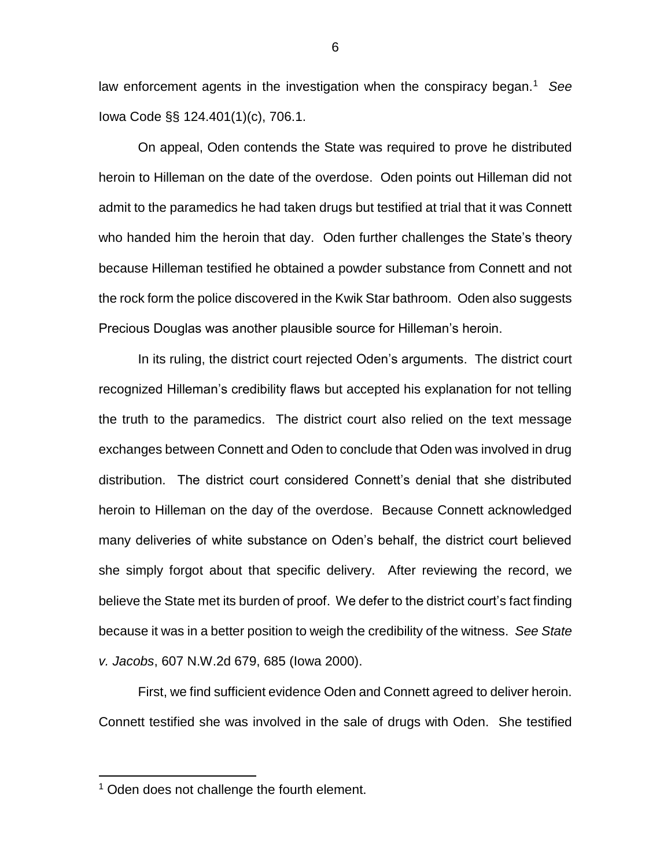law enforcement agents in the investigation when the conspiracy began.<sup>1</sup> *See* Iowa Code §§ 124.401(1)(c), 706.1.

On appeal, Oden contends the State was required to prove he distributed heroin to Hilleman on the date of the overdose. Oden points out Hilleman did not admit to the paramedics he had taken drugs but testified at trial that it was Connett who handed him the heroin that day. Oden further challenges the State's theory because Hilleman testified he obtained a powder substance from Connett and not the rock form the police discovered in the Kwik Star bathroom. Oden also suggests Precious Douglas was another plausible source for Hilleman's heroin.

In its ruling, the district court rejected Oden's arguments. The district court recognized Hilleman's credibility flaws but accepted his explanation for not telling the truth to the paramedics. The district court also relied on the text message exchanges between Connett and Oden to conclude that Oden was involved in drug distribution. The district court considered Connett's denial that she distributed heroin to Hilleman on the day of the overdose. Because Connett acknowledged many deliveries of white substance on Oden's behalf, the district court believed she simply forgot about that specific delivery. After reviewing the record, we believe the State met its burden of proof. We defer to the district court's fact finding because it was in a better position to weigh the credibility of the witness. *See State v. Jacobs*, 607 N.W.2d 679, 685 (Iowa 2000).

First, we find sufficient evidence Oden and Connett agreed to deliver heroin. Connett testified she was involved in the sale of drugs with Oden. She testified

 $\overline{a}$ 

<sup>&</sup>lt;sup>1</sup> Oden does not challenge the fourth element.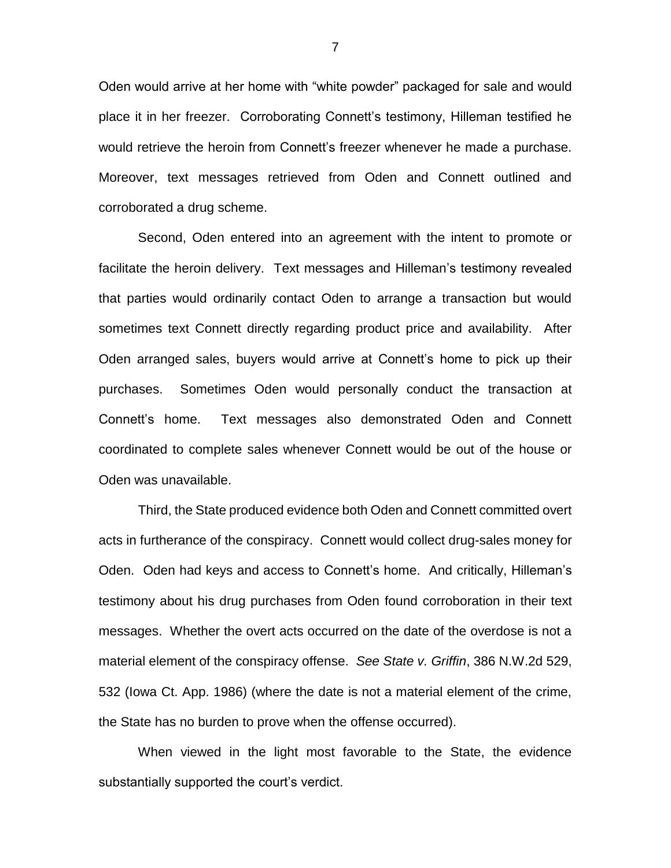Oden would arrive at her home with "white powder" packaged for sale and would place it in her freezer. Corroborating Connett's testimony, Hilleman testified he would retrieve the heroin from Connett's freezer whenever he made a purchase. Moreover, text messages retrieved from Oden and Connett outlined and corroborated a drug scheme.

Second, Oden entered into an agreement with the intent to promote or facilitate the heroin delivery. Text messages and Hilleman's testimony revealed that parties would ordinarily contact Oden to arrange a transaction but would sometimes text Connett directly regarding product price and availability. After Oden arranged sales, buyers would arrive at Connett's home to pick up their purchases. Sometimes Oden would personally conduct the transaction at Connett's home. Text messages also demonstrated Oden and Connett coordinated to complete sales whenever Connett would be out of the house or Oden was unavailable.

Third, the State produced evidence both Oden and Connett committed overt acts in furtherance of the conspiracy. Connett would collect drug-sales money for Oden. Oden had keys and access to Connett's home. And critically, Hilleman's testimony about his drug purchases from Oden found corroboration in their text messages. Whether the overt acts occurred on the date of the overdose is not a material element of the conspiracy offense. *See State v. Griffin*, 386 N.W.2d 529, 532 (Iowa Ct. App. 1986) (where the date is not a material element of the crime, the State has no burden to prove when the offense occurred).

When viewed in the light most favorable to the State, the evidence substantially supported the court's verdict.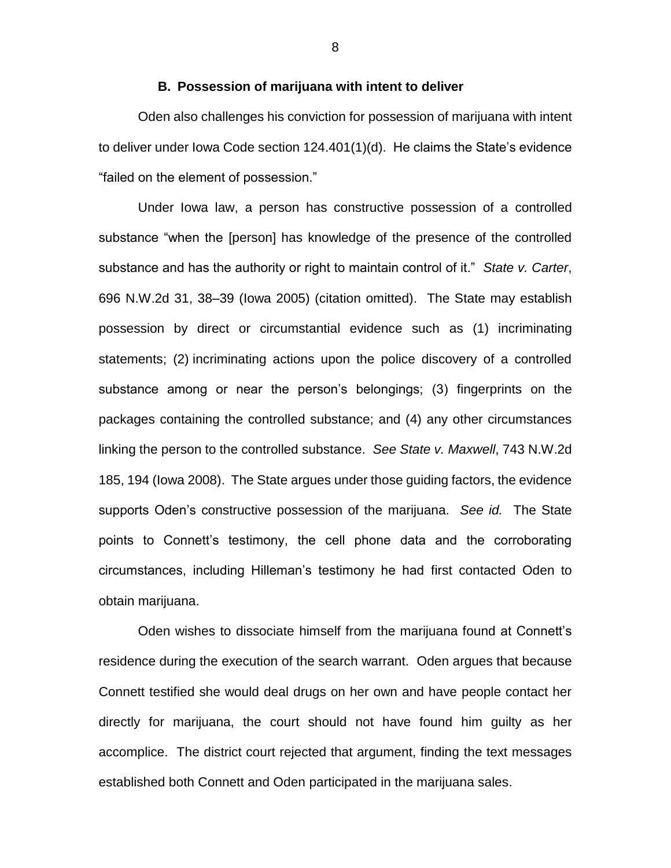### **B. Possession of marijuana with intent to deliver**

Oden also challenges his conviction for possession of marijuana with intent to deliver under Iowa Code section 124.401(1)(d). He claims the State's evidence "failed on the element of possession."

Under Iowa law, a person has constructive possession of a controlled substance "when the [person] has knowledge of the presence of the controlled substance and has the authority or right to maintain control of it." *State v. Carter*, 696 N.W.2d 31, 38–39 (Iowa 2005) (citation omitted). The State may establish possession by direct or circumstantial evidence such as (1) incriminating statements; (2) incriminating actions upon the police discovery of a controlled substance among or near the person's belongings; (3) fingerprints on the packages containing the controlled substance; and (4) any other circumstances linking the person to the controlled substance. *See State v. Maxwell*, 743 N.W.2d 185, 194 (Iowa 2008). The State argues under those guiding factors, the evidence supports Oden's constructive possession of the marijuana. *See id.* The State points to Connett's testimony, the cell phone data and the corroborating circumstances, including Hilleman's testimony he had first contacted Oden to obtain marijuana.

Oden wishes to dissociate himself from the marijuana found at Connett's residence during the execution of the search warrant. Oden argues that because Connett testified she would deal drugs on her own and have people contact her directly for marijuana, the court should not have found him guilty as her accomplice. The district court rejected that argument, finding the text messages established both Connett and Oden participated in the marijuana sales.